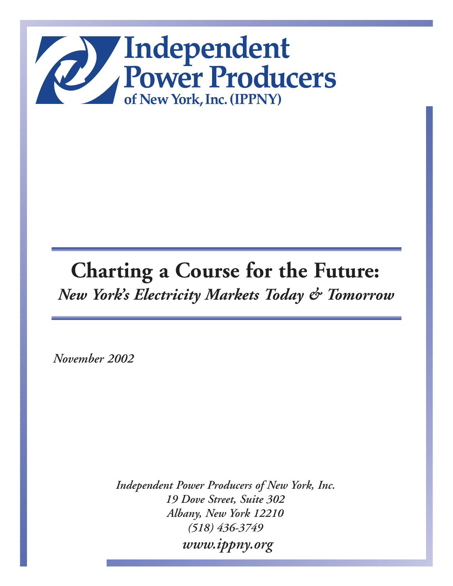

# **Charting a Course for the Future:** *New York's Electricity Markets Today & Tomorrow*

*November 2002*

*Independent Power Producers of New York, Inc. 19 Dove Street, Suite 302 Albany, New York 12210 (518) 436-3749 www.ippny.org*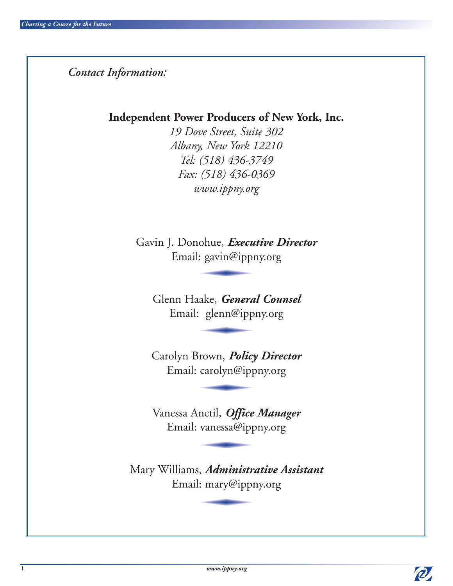*Contact Information:*

**Independent Power Producers of New York, Inc.**

*19 Dove Street, Suite 302 Albany, New York 12210 Tel: (518) 436-3749 Fax: (518) 436-0369 www.ippny.org*

Gavin J. Donohue, *Executive Director* Email: gavin@ippny.org

Glenn Haake, *General Counsel* Email: glenn@ippny.org

Carolyn Brown, *Policy Director* Email: carolyn@ippny.org

Vanessa Anctil, *Office Manager* Email: vanessa@ippny.org

Mary Williams, *Administrative Assistant* Email: mary@ippny.org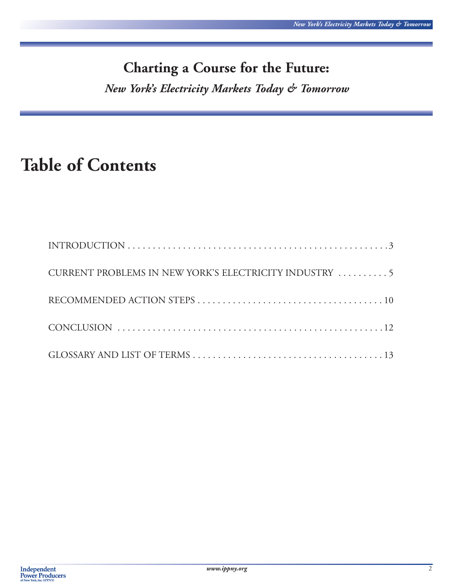# **Charting a Course for the Future:**

*New York's Electricity Markets Today & Tomorrow*

# **Table of Contents**

| CURRENT PROBLEMS IN NEW YORK'S ELECTRICITY INDUSTRY  5 |
|--------------------------------------------------------|
|                                                        |
|                                                        |
|                                                        |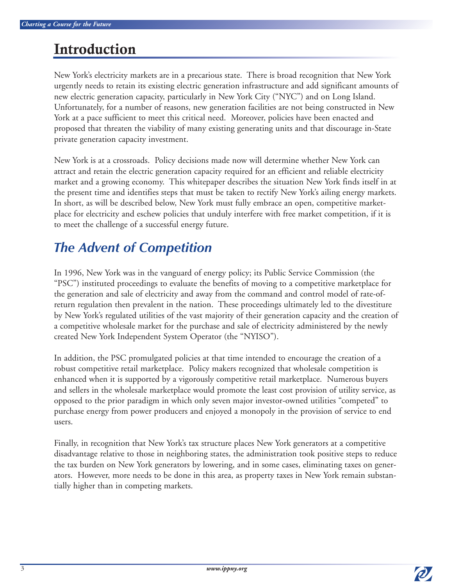# **Introduction**

New York's electricity markets are in a precarious state. There is broad recognition that New York urgently needs to retain its existing electric generation infrastructure and add significant amounts of new electric generation capacity, particularly in New York City ("NYC") and on Long Island. Unfortunately, for a number of reasons, new generation facilities are not being constructed in New York at a pace sufficient to meet this critical need. Moreover, policies have been enacted and proposed that threaten the viability of many existing generating units and that discourage in-State private generation capacity investment.

New York is at a crossroads. Policy decisions made now will determine whether New York can attract and retain the electric generation capacity required for an efficient and reliable electricity market and a growing economy. This whitepaper describes the situation New York finds itself in at the present time and identifies steps that must be taken to rectify New York's ailing energy markets. In short, as will be described below, New York must fully embrace an open, competitive marketplace for electricity and eschew policies that unduly interfere with free market competition, if it is to meet the challenge of a successful energy future.

## *The Advent of Competition*

In 1996, New York was in the vanguard of energy policy; its Public Service Commission (the "PSC") instituted proceedings to evaluate the benefits of moving to a competitive marketplace for the generation and sale of electricity and away from the command and control model of rate-ofreturn regulation then prevalent in the nation. These proceedings ultimately led to the divestiture by New York's regulated utilities of the vast majority of their generation capacity and the creation of a competitive wholesale market for the purchase and sale of electricity administered by the newly created New York Independent System Operator (the "NYISO").

In addition, the PSC promulgated policies at that time intended to encourage the creation of a robust competitive retail marketplace. Policy makers recognized that wholesale competition is enhanced when it is supported by a vigorously competitive retail marketplace. Numerous buyers and sellers in the wholesale marketplace would promote the least cost provision of utility service, as opposed to the prior paradigm in which only seven major investor-owned utilities "competed" to purchase energy from power producers and enjoyed a monopoly in the provision of service to end users.

Finally, in recognition that New York's tax structure places New York generators at a competitive disadvantage relative to those in neighboring states, the administration took positive steps to reduce the tax burden on New York generators by lowering, and in some cases, eliminating taxes on generators. However, more needs to be done in this area, as property taxes in New York remain substantially higher than in competing markets.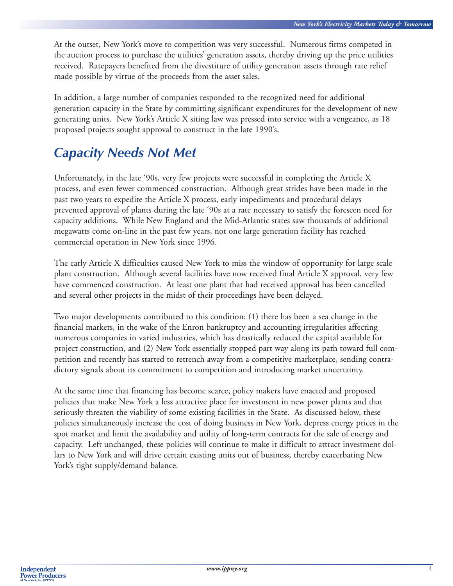At the outset, New York's move to competition was very successful. Numerous firms competed in the auction process to purchase the utilities' generation assets, thereby driving up the price utilities received. Ratepayers benefited from the divestiture of utility generation assets through rate relief made possible by virtue of the proceeds from the asset sales.

In addition, a large number of companies responded to the recognized need for additional generation capacity in the State by committing significant expenditures for the development of new generating units. New York's Article X siting law was pressed into service with a vengeance, as 18 proposed projects sought approval to construct in the late 1990's.

## *Capacity Needs Not Met*

Unfortunately, in the late '90s, very few projects were successful in completing the Article X process, and even fewer commenced construction. Although great strides have been made in the past two years to expedite the Article X process, early impediments and procedural delays prevented approval of plants during the late '90s at a rate necessary to satisfy the foreseen need for capacity additions. While New England and the Mid-Atlantic states saw thousands of additional megawatts come on-line in the past few years, not one large generation facility has reached commercial operation in New York since 1996.

The early Article X difficulties caused New York to miss the window of opportunity for large scale plant construction. Although several facilities have now received final Article X approval, very few have commenced construction. At least one plant that had received approval has been cancelled and several other projects in the midst of their proceedings have been delayed.

Two major developments contributed to this condition: (1) there has been a sea change in the financial markets, in the wake of the Enron bankruptcy and accounting irregularities affecting numerous companies in varied industries, which has drastically reduced the capital available for project construction, and (2) New York essentially stopped part way along its path toward full competition and recently has started to retrench away from a competitive marketplace, sending contradictory signals about its commitment to competition and introducing market uncertainty.

At the same time that financing has become scarce, policy makers have enacted and proposed policies that make New York a less attractive place for investment in new power plants and that seriously threaten the viability of some existing facilities in the State. As discussed below, these policies simultaneously increase the cost of doing business in New York, depress energy prices in the spot market and limit the availability and utility of long-term contracts for the sale of energy and capacity. Left unchanged, these policies will continue to make it difficult to attract investment dollars to New York and will drive certain existing units out of business, thereby exacerbating New York's tight supply/demand balance.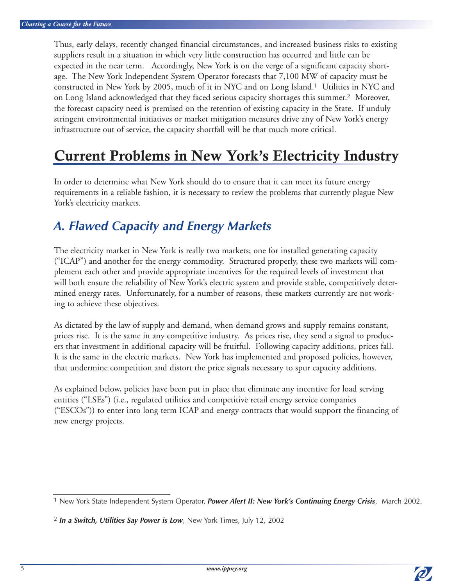Thus, early delays, recently changed financial circumstances, and increased business risks to existing suppliers result in a situation in which very little construction has occurred and little can be expected in the near term. Accordingly, New York is on the verge of a significant capacity shortage. The New York Independent System Operator forecasts that 7,100 MW of capacity must be constructed in New York by 2005, much of it in NYC and on Long Island.<sup>1</sup> Utilities in NYC and on Long Island acknowledged that they faced serious capacity shortages this summer.<sup>2</sup> Moreover, the forecast capacity need is premised on the retention of existing capacity in the State. If unduly stringent environmental initiatives or market mitigation measures drive any of New York's energy infrastructure out of service, the capacity shortfall will be that much more critical.

## **Current Problems in New York's Electricity Industry**

In order to determine what New York should do to ensure that it can meet its future energy requirements in a reliable fashion, it is necessary to review the problems that currently plague New York's electricity markets.

## *A. Flawed Capacity and Energy Markets*

The electricity market in New York is really two markets; one for installed generating capacity ("ICAP") and another for the energy commodity. Structured properly, these two markets will complement each other and provide appropriate incentives for the required levels of investment that will both ensure the reliability of New York's electric system and provide stable, competitively determined energy rates. Unfortunately, for a number of reasons, these markets currently are not working to achieve these objectives.

As dictated by the law of supply and demand, when demand grows and supply remains constant, prices rise. It is the same in any competitive industry. As prices rise, they send a signal to producers that investment in additional capacity will be fruitful. Following capacity additions, prices fall. It is the same in the electric markets. New York has implemented and proposed policies, however, that undermine competition and distort the price signals necessary to spur capacity additions.

As explained below, policies have been put in place that eliminate any incentive for load serving entities ("LSEs") (i.e., regulated utilities and competitive retail energy service companies  $("ESCOs")$  to enter into long term ICAP and energy contracts that would support the financing of new energy projects.

<sup>1</sup> New York State Independent System Operator, *Power Alert II: New York's Continuing Energy Crisis*, March 2002.

<sup>2</sup> *In a Switch, Utilities Say Power is Low*, New York Times, July 12, 2002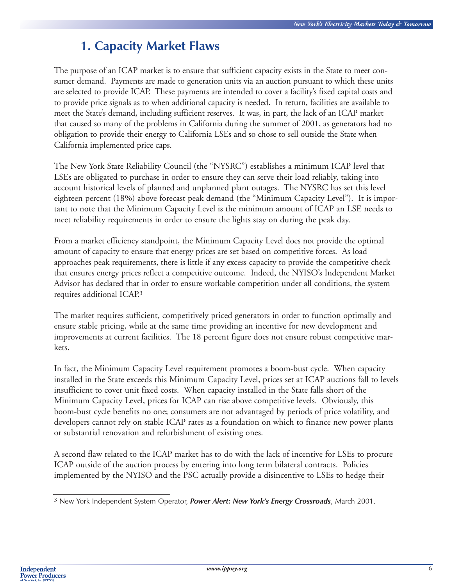## **1. Capacity Market Flaws**

The purpose of an ICAP market is to ensure that sufficient capacity exists in the State to meet consumer demand. Payments are made to generation units via an auction pursuant to which these units are selected to provide ICAP. These payments are intended to cover a facility's fixed capital costs and to provide price signals as to when additional capacity is needed. In return, facilities are available to meet the State's demand, including sufficient reserves. It was, in part, the lack of an ICAP market that caused so many of the problems in California during the summer of 2001, as generators had no obligation to provide their energy to California LSEs and so chose to sell outside the State when California implemented price caps.

The New York State Reliability Council (the "NYSRC") establishes a minimum ICAP level that LSEs are obligated to purchase in order to ensure they can serve their load reliably, taking into account historical levels of planned and unplanned plant outages. The NYSRC has set this level eighteen percent (18%) above forecast peak demand (the "Minimum Capacity Level"). It is important to note that the Minimum Capacity Level is the minimum amount of ICAP an LSE needs to meet reliability requirements in order to ensure the lights stay on during the peak day.

From a market efficiency standpoint, the Minimum Capacity Level does not provide the optimal amount of capacity to ensure that energy prices are set based on competitive forces. As load approaches peak requirements, there is little if any excess capacity to provide the competitive check that ensures energy prices reflect a competitive outcome. Indeed, the NYISO's Independent Market Advisor has declared that in order to ensure workable competition under all conditions, the system requires additional ICAP.<sup>3</sup>

The market requires sufficient, competitively priced generators in order to function optimally and ensure stable pricing, while at the same time providing an incentive for new development and improvements at current facilities. The 18 percent figure does not ensure robust competitive markets.

In fact, the Minimum Capacity Level requirement promotes a boom-bust cycle. When capacity installed in the State exceeds this Minimum Capacity Level, prices set at ICAP auctions fall to levels insufficient to cover unit fixed costs. When capacity installed in the State falls short of the Minimum Capacity Level, prices for ICAP can rise above competitive levels. Obviously, this boom-bust cycle benefits no one; consumers are not advantaged by periods of price volatility, and developers cannot rely on stable ICAP rates as a foundation on which to finance new power plants or substantial renovation and refurbishment of existing ones.

A second flaw related to the ICAP market has to do with the lack of incentive for LSEs to procure ICAP outside of the auction process by entering into long term bilateral contracts. Policies implemented by the NYISO and the PSC actually provide a disincentive to LSEs to hedge their

<sup>3</sup> New York Independent System Operator, *Power Alert: New York's Energy Crossroads*, March 2001.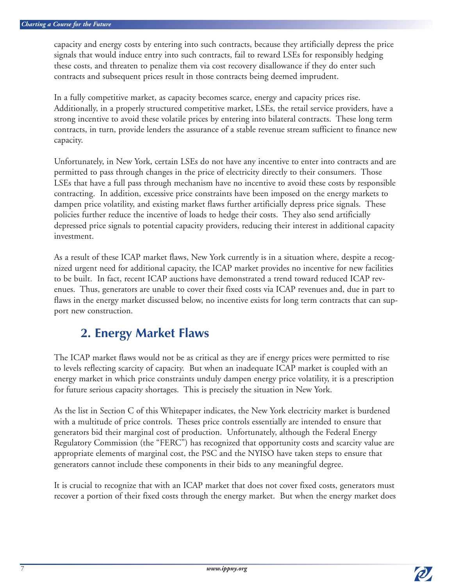capacity and energy costs by entering into such contracts, because they artificially depress the price signals that would induce entry into such contracts, fail to reward LSEs for responsibly hedging these costs, and threaten to penalize them via cost recovery disallowance if they do enter such contracts and subsequent prices result in those contracts being deemed imprudent.

In a fully competitive market, as capacity becomes scarce, energy and capacity prices rise. Additionally, in a properly structured competitive market, LSEs, the retail service providers, have a strong incentive to avoid these volatile prices by entering into bilateral contracts. These long term contracts, in turn, provide lenders the assurance of a stable revenue stream sufficient to finance new capacity.

Unfortunately, in New York, certain LSEs do not have any incentive to enter into contracts and are permitted to pass through changes in the price of electricity directly to their consumers. Those LSEs that have a full pass through mechanism have no incentive to avoid these costs by responsible contracting. In addition, excessive price constraints have been imposed on the energy markets to dampen price volatility, and existing market flaws further artificially depress price signals. These policies further reduce the incentive of loads to hedge their costs. They also send artificially depressed price signals to potential capacity providers, reducing their interest in additional capacity investment.

As a result of these ICAP market flaws, New York currently is in a situation where, despite a recognized urgent need for additional capacity, the ICAP market provides no incentive for new facilities to be built. In fact, recent ICAP auctions have demonstrated a trend toward reduced ICAP revenues. Thus, generators are unable to cover their fixed costs via ICAP revenues and, due in part to flaws in the energy market discussed below, no incentive exists for long term contracts that can support new construction.

## **2. Energy Market Flaws**

The ICAP market flaws would not be as critical as they are if energy prices were permitted to rise to levels reflecting scarcity of capacity. But when an inadequate ICAP market is coupled with an energy market in which price constraints unduly dampen energy price volatility, it is a prescription for future serious capacity shortages. This is precisely the situation in New York.

As the list in Section C of this Whitepaper indicates, the New York electricity market is burdened with a multitude of price controls. Theses price controls essentially are intended to ensure that generators bid their marginal cost of production. Unfortunately, although the Federal Energy Regulatory Commission (the "FERC") has recognized that opportunity costs and scarcity value are appropriate elements of marginal cost, the PSC and the NYISO have taken steps to ensure that generators cannot include these components in their bids to any meaningful degree.

It is crucial to recognize that with an ICAP market that does not cover fixed costs, generators must recover a portion of their fixed costs through the energy market. But when the energy market does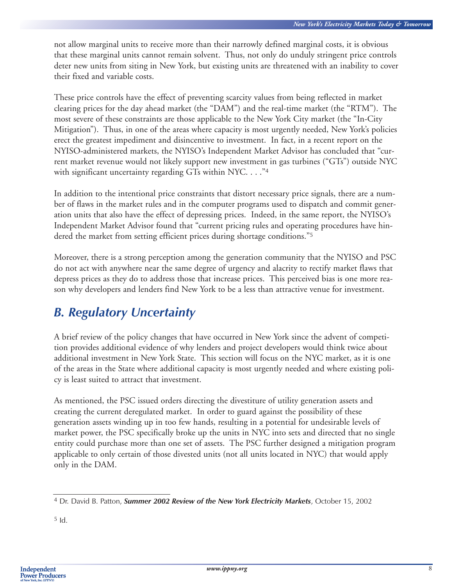not allow marginal units to receive more than their narrowly defined marginal costs, it is obvious that these marginal units cannot remain solvent. Thus, not only do unduly stringent price controls deter new units from siting in New York, but existing units are threatened with an inability to cover their fixed and variable costs.

These price controls have the effect of preventing scarcity values from being reflected in market clearing prices for the day ahead market (the "DAM") and the real-time market (the "RTM"). The most severe of these constraints are those applicable to the New York City market (the "In-City Mitigation"). Thus, in one of the areas where capacity is most urgently needed, New York's policies erect the greatest impediment and disincentive to investment. In fact, in a recent report on the NYISO-administered markets, the NYISO's Independent Market Advisor has concluded that "current market revenue would not likely support new investment in gas turbines ("GTs") outside NYC with significant uncertainty regarding GTs within NYC. . . . "4

In addition to the intentional price constraints that distort necessary price signals, there are a number of flaws in the market rules and in the computer programs used to dispatch and commit generation units that also have the effect of depressing prices. Indeed, in the same report, the NYISO's Independent Market Advisor found that "current pricing rules and operating procedures have hindered the market from setting efficient prices during shortage conditions."<sup>5</sup>

Moreover, there is a strong perception among the generation community that the NYISO and PSC do not act with anywhere near the same degree of urgency and alacrity to rectify market flaws that depress prices as they do to address those that increase prices. This perceived bias is one more reason why developers and lenders find New York to be a less than attractive venue for investment.

## *B. Regulatory Uncertainty*

A brief review of the policy changes that have occurred in New York since the advent of competition provides additional evidence of why lenders and project developers would think twice about additional investment in New York State. This section will focus on the NYC market, as it is one of the areas in the State where additional capacity is most urgently needed and where existing policy is least suited to attract that investment.

As mentioned, the PSC issued orders directing the divestiture of utility generation assets and creating the current deregulated market. In order to guard against the possibility of these generation assets winding up in too few hands, resulting in a potential for undesirable levels of market power, the PSC specifically broke up the units in NYC into sets and directed that no single entity could purchase more than one set of assets. The PSC further designed a mitigation program applicable to only certain of those divested units (not all units located in NYC) that would apply only in the DAM.

5 Id.

<sup>4</sup> Dr. David B. Patton, *Summer 2002 Review of the New York Electricity Markets*, October 15, 2002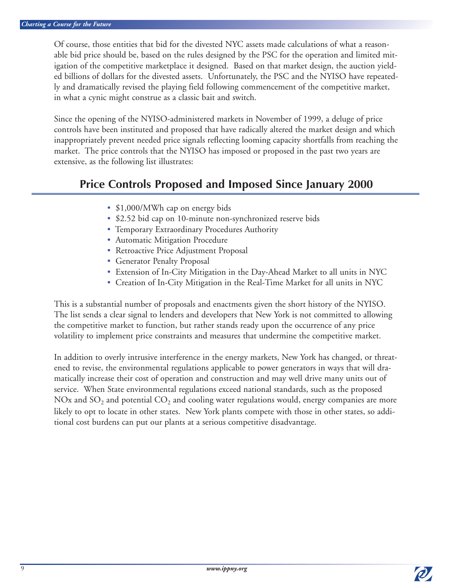Of course, those entities that bid for the divested NYC assets made calculations of what a reasonable bid price should be, based on the rules designed by the PSC for the operation and limited mitigation of the competitive marketplace it designed. Based on that market design, the auction yielded billions of dollars for the divested assets. Unfortunately, the PSC and the NYISO have repeatedly and dramatically revised the playing field following commencement of the competitive market, in what a cynic might construe as a classic bait and switch.

Since the opening of the NYISO-administered markets in November of 1999, a deluge of price controls have been instituted and proposed that have radically altered the market design and which inappropriately prevent needed price signals reflecting looming capacity shortfalls from reaching the market. The price controls that the NYISO has imposed or proposed in the past two years are extensive, as the following list illustrates:

### **Price Controls Proposed and Imposed Since January 2000**

- \$1,000/MWh cap on energy bids
- \$2.52 bid cap on 10-minute non-synchronized reserve bids
- Temporary Extraordinary Procedures Authority
- Automatic Mitigation Procedure
- Retroactive Price Adjustment Proposal
- Generator Penalty Proposal
- Extension of In-City Mitigation in the Day-Ahead Market to all units in NYC
- Creation of In-City Mitigation in the Real-Time Market for all units in NYC

This is a substantial number of proposals and enactments given the short history of the NYISO. The list sends a clear signal to lenders and developers that New York is not committed to allowing the competitive market to function, but rather stands ready upon the occurrence of any price volatility to implement price constraints and measures that undermine the competitive market.

In addition to overly intrusive interference in the energy markets, New York has changed, or threatened to revise, the environmental regulations applicable to power generators in ways that will dramatically increase their cost of operation and construction and may well drive many units out of service. When State environmental regulations exceed national standards, such as the proposed NOx and SO<sub>2</sub> and potential CO<sub>2</sub> and cooling water regulations would, energy companies are more likely to opt to locate in other states. New York plants compete with those in other states, so additional cost burdens can put our plants at a serious competitive disadvantage.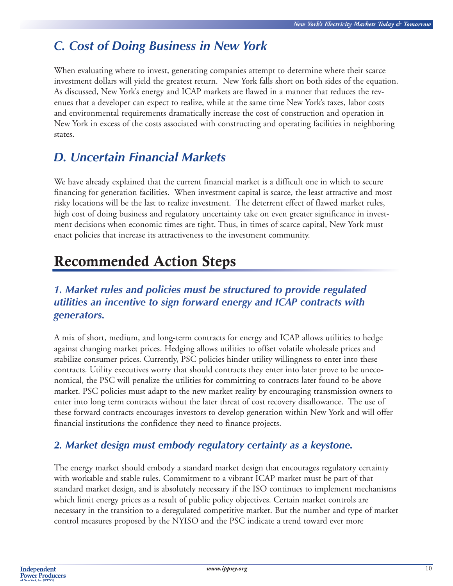## *C. Cost of Doing Business in New York*

When evaluating where to invest, generating companies attempt to determine where their scarce investment dollars will yield the greatest return. New York falls short on both sides of the equation. As discussed, New York's energy and ICAP markets are flawed in a manner that reduces the revenues that a developer can expect to realize, while at the same time New York's taxes, labor costs and environmental requirements dramatically increase the cost of construction and operation in New York in excess of the costs associated with constructing and operating facilities in neighboring states.

## *D. Uncertain Financial Markets*

We have already explained that the current financial market is a difficult one in which to secure financing for generation facilities. When investment capital is scarce, the least attractive and most risky locations will be the last to realize investment. The deterrent effect of flawed market rules, high cost of doing business and regulatory uncertainty take on even greater significance in investment decisions when economic times are tight. Thus, in times of scarce capital, New York must enact policies that increase its attractiveness to the investment community.

# **Recommended Action Steps**

#### *1. Market rules and policies must be structured to provide regulated utilities an incentive to sign forward energy and ICAP contracts with generators.*

A mix of short, medium, and long-term contracts for energy and ICAP allows utilities to hedge against changing market prices. Hedging allows utilities to offset volatile wholesale prices and stabilize consumer prices. Currently, PSC policies hinder utility willingness to enter into these contracts. Utility executives worry that should contracts they enter into later prove to be uneconomical, the PSC will penalize the utilities for committing to contracts later found to be above market. PSC policies must adapt to the new market reality by encouraging transmission owners to enter into long term contracts without the later threat of cost recovery disallowance. The use of these forward contracts encourages investors to develop generation within New York and will offer financial institutions the confidence they need to finance projects.

#### *2. Market design must embody regulatory certainty as a keystone.*

The energy market should embody a standard market design that encourages regulatory certainty with workable and stable rules. Commitment to a vibrant ICAP market must be part of that standard market design, and is absolutely necessary if the ISO continues to implement mechanisms which limit energy prices as a result of public policy objectives. Certain market controls are necessary in the transition to a deregulated competitive market. But the number and type of market control measures proposed by the NYISO and the PSC indicate a trend toward ever more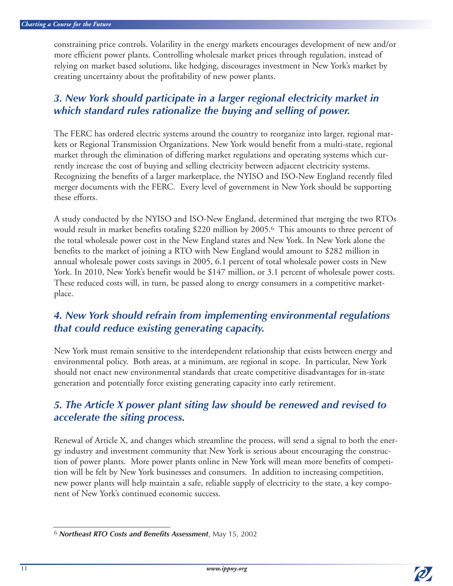constraining price controls. Volatility in the energy markets encourages development of new and/or more efficient power plants. Controlling wholesale market prices through regulation, instead of relying on market based solutions, like hedging, discourages investment in New York's market by creating uncertainty about the profitability of new power plants.

#### *3. New York should participate in a larger regional electricity market in which standard rules rationalize the buying and selling of power.*

The FERC has ordered electric systems around the country to reorganize into larger, regional markets or Regional Transmission Organizations. New York would benefit from a multi-state, regional market through the elimination of differing market regulations and operating systems which currently increase the cost of buying and selling electricity between adjacent electricity systems. Recognizing the benefits of a larger marketplace, the NYISO and ISO-New England recently filed merger documents with the FERC. Every level of government in New York should be supporting these efforts.

A study conducted by the NYISO and ISO-New England, determined that merging the two RTOs would result in market benefits totaling \$220 million by 2005.<sup>6</sup> This amounts to three percent of the total wholesale power cost in the New England states and New York. In New York alone the benefits to the market of joining a RTO with New England would amount to \$282 million in annual wholesale power costs savings in 2005, 6.1 percent of total wholesale power costs in New York. In 2010, New York's benefit would be \$147 million, or 3.1 percent of wholesale power costs. These reduced costs will, in turn, be passed along to energy consumers in a competitive marketplace.

#### *4. New York should refrain from implementing environmental regulations that could reduce existing generating capacity.*

New York must remain sensitive to the interdependent relationship that exists between energy and environmental policy. Both areas, at a minimum, are regional in scope. In particular, New York should not enact new environmental standards that create competitive disadvantages for in-state generation and potentially force existing generating capacity into early retirement.

#### *5. The Article X power plant siting law should be renewed and revised to accelerate the siting process.*

Renewal of Article X, and changes which streamline the process, will send a signal to both the energy industry and investment community that New York is serious about encouraging the construction of power plants. More power plants online in New York will mean more benefits of competition will be felt by New York businesses and consumers. In addition to increasing competition, new power plants will help maintain a safe, reliable supply of electricity to the state, a key component of New York's continued economic success.



<sup>6</sup> *Northeast RTO Costs and Benefits Assessment*, May 15, 2002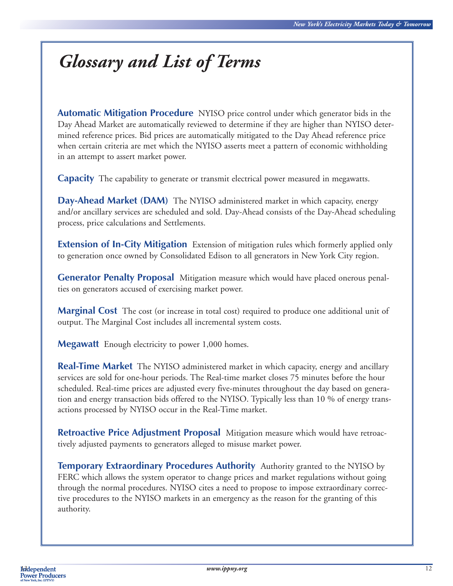# *Glossary and List of Terms*

**Automatic Mitigation Procedure** NYISO price control under which generator bids in the Day Ahead Market are automatically reviewed to determine if they are higher than NYISO determined reference prices. Bid prices are automatically mitigated to the Day Ahead reference price when certain criteria are met which the NYISO asserts meet a pattern of economic withholding in an attempt to assert market power.

**Capacity** The capability to generate or transmit electrical power measured in megawatts.

**Day-Ahead Market (DAM)** The NYISO administered market in which capacity, energy and/or ancillary services are scheduled and sold. Day-Ahead consists of the Day-Ahead scheduling process, price calculations and Settlements.

**Extension of In-City Mitigation** Extension of mitigation rules which formerly applied only to generation once owned by Consolidated Edison to all generators in New York City region.

**Generator Penalty Proposal** Mitigation measure which would have placed onerous penalties on generators accused of exercising market power.

**Marginal Cost** The cost (or increase in total cost) required to produce one additional unit of output. The Marginal Cost includes all incremental system costs.

**Megawatt** Enough electricity to power 1,000 homes.

**Real-Time Market** The NYISO administered market in which capacity, energy and ancillary services are sold for one-hour periods. The Real-time market closes 75 minutes before the hour scheduled. Real-time prices are adjusted every five-minutes throughout the day based on generation and energy transaction bids offered to the NYISO. Typically less than 10 % of energy transactions processed by NYISO occur in the Real-Time market.

**Retroactive Price Adjustment Proposal** Mitigation measure which would have retroactively adjusted payments to generators alleged to misuse market power.

**Temporary Extraordinary Procedures Authority** Authority granted to the NYISO by FERC which allows the system operator to change prices and market regulations without going through the normal procedures. NYISO cites a need to propose to impose extraordinary corrective procedures to the NYISO markets in an emergency as the reason for the granting of this authority.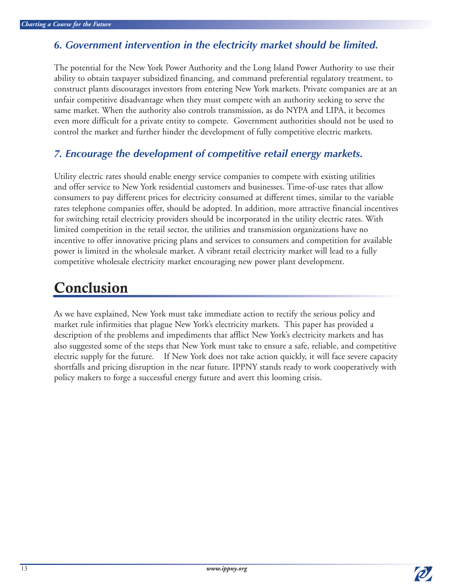#### *6. Government intervention in the electricity market should be limited.*

The potential for the New York Power Authority and the Long Island Power Authority to use their ability to obtain taxpayer subsidized financing, and command preferential regulatory treatment, to construct plants discourages investors from entering New York markets. Private companies are at an unfair competitive disadvantage when they must compete with an authority seeking to serve the same market. When the authority also controls transmission, as do NYPA and LIPA, it becomes even more difficult for a private entity to compete. Government authorities should not be used to control the market and further hinder the development of fully competitive electric markets.

#### *7. Encourage the development of competitive retail energy markets.*

Utility electric rates should enable energy service companies to compete with existing utilities and offer service to New York residential customers and businesses. Time-of-use rates that allow consumers to pay different prices for electricity consumed at different times, similar to the variable rates telephone companies offer, should be adopted. In addition, more attractive financial incentives for switching retail electricity providers should be incorporated in the utility electric rates. With limited competition in the retail sector, the utilities and transmission organizations have no incentive to offer innovative pricing plans and services to consumers and competition for available power is limited in the wholesale market. A vibrant retail electricity market will lead to a fully competitive wholesale electricity market encouraging new power plant development.

## **Conclusion**

As we have explained, New York must take immediate action to rectify the serious policy and market rule infirmities that plague New York's electricity markets. This paper has provided a description of the problems and impediments that afflict New York's electricity markets and has also suggested some of the steps that New York must take to ensure a safe, reliable, and competitive electric supply for the future. If New York does not take action quickly, it will face severe capacity shortfalls and pricing disruption in the near future. IPPNY stands ready to work cooperatively with policy makers to forge a successful energy future and avert this looming crisis.